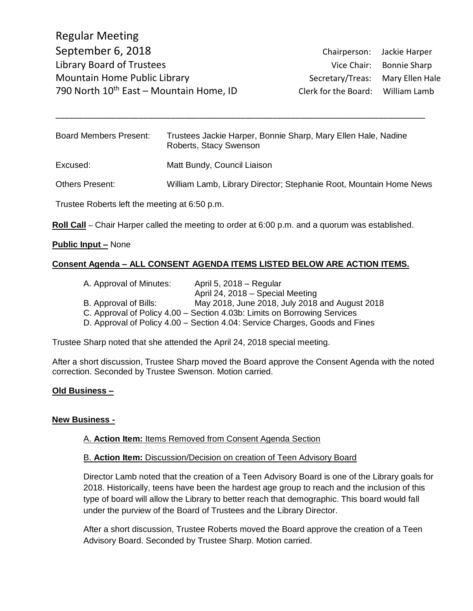Regular Meeting September 6, 2018 Chairperson: Jackie Harper Library Board of Trustees Vice Chair: Bonnie Sharp Mountain Home Public Library Network Secretary/Treas: Mary Ellen Hale 790 North  $10^{th}$  East – Mountain Home, ID Clerk for the Board: William Lamb

Board Members Present: Trustees Jackie Harper, Bonnie Sharp, Mary Ellen Hale, Nadine Roberts, Stacy Swenson Excused: Matt Bundy, Council Liaison Others Present: William Lamb, Library Director; Stephanie Root, Mountain Home News Trustee Roberts left the meeting at 6:50 p.m.

\_\_\_\_\_\_\_\_\_\_\_\_\_\_\_\_\_\_\_\_\_\_\_\_\_\_\_\_\_\_\_\_\_\_\_\_\_\_\_\_\_\_\_\_\_\_\_\_\_\_\_\_\_\_\_\_\_\_\_\_\_\_\_\_\_\_\_\_\_\_\_\_\_\_\_\_\_\_\_\_

**Roll Call** – Chair Harper called the meeting to order at 6:00 p.m. and a quorum was established.

### **Public Input –** None

### **Consent Agenda – ALL CONSENT AGENDA ITEMS LISTED BELOW ARE ACTION ITEMS.**

| A. Approval of Minutes: | April 5, $2018 -$ Regular                                                   |
|-------------------------|-----------------------------------------------------------------------------|
|                         | April 24, 2018 - Special Meeting                                            |
| B. Approval of Bills:   | May 2018, June 2018, July 2018 and August 2018                              |
|                         | C. Approval of Policy 4.00 – Section 4.03b: Limits on Borrowing Services    |
|                         | D. Approval of Policy 4.00 – Section 4.04: Service Charges, Goods and Fines |
|                         |                                                                             |

Trustee Sharp noted that she attended the April 24, 2018 special meeting.

After a short discussion, Trustee Sharp moved the Board approve the Consent Agenda with the noted correction. Seconded by Trustee Swenson. Motion carried.

### **Old Business –**

#### **New Business -**

### A. **Action Item:** Items Removed from Consent Agenda Section

#### B. **Action Item:** Discussion/Decision on creation of Teen Advisory Board

Director Lamb noted that the creation of a Teen Advisory Board is one of the Library goals for 2018. Historically, teens have been the hardest age group to reach and the inclusion of this type of board will allow the Library to better reach that demographic. This board would fall under the purview of the Board of Trustees and the Library Director.

After a short discussion, Trustee Roberts moved the Board approve the creation of a Teen Advisory Board. Seconded by Trustee Sharp. Motion carried.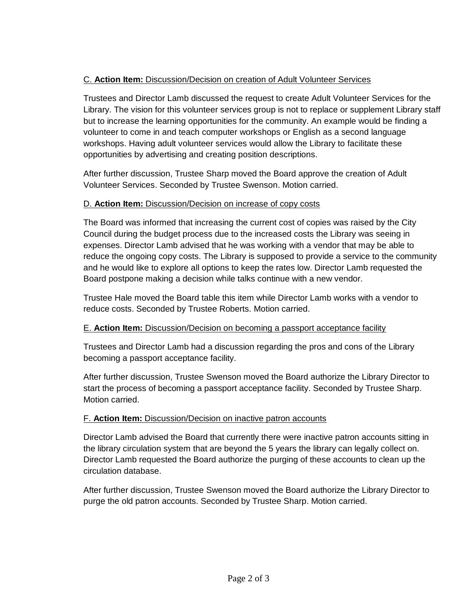# C. **Action Item:** Discussion/Decision on creation of Adult Volunteer Services

Trustees and Director Lamb discussed the request to create Adult Volunteer Services for the Library. The vision for this volunteer services group is not to replace or supplement Library staff but to increase the learning opportunities for the community. An example would be finding a volunteer to come in and teach computer workshops or English as a second language workshops. Having adult volunteer services would allow the Library to facilitate these opportunities by advertising and creating position descriptions.

After further discussion, Trustee Sharp moved the Board approve the creation of Adult Volunteer Services. Seconded by Trustee Swenson. Motion carried.

## D. **Action Item:** Discussion/Decision on increase of copy costs

The Board was informed that increasing the current cost of copies was raised by the City Council during the budget process due to the increased costs the Library was seeing in expenses. Director Lamb advised that he was working with a vendor that may be able to reduce the ongoing copy costs. The Library is supposed to provide a service to the community and he would like to explore all options to keep the rates low. Director Lamb requested the Board postpone making a decision while talks continue with a new vendor.

Trustee Hale moved the Board table this item while Director Lamb works with a vendor to reduce costs. Seconded by Trustee Roberts. Motion carried.

# E. **Action Item:** Discussion/Decision on becoming a passport acceptance facility

Trustees and Director Lamb had a discussion regarding the pros and cons of the Library becoming a passport acceptance facility.

After further discussion, Trustee Swenson moved the Board authorize the Library Director to start the process of becoming a passport acceptance facility. Seconded by Trustee Sharp. Motion carried.

# F. **Action Item:** Discussion/Decision on inactive patron accounts

Director Lamb advised the Board that currently there were inactive patron accounts sitting in the library circulation system that are beyond the 5 years the library can legally collect on. Director Lamb requested the Board authorize the purging of these accounts to clean up the circulation database.

After further discussion, Trustee Swenson moved the Board authorize the Library Director to purge the old patron accounts. Seconded by Trustee Sharp. Motion carried.